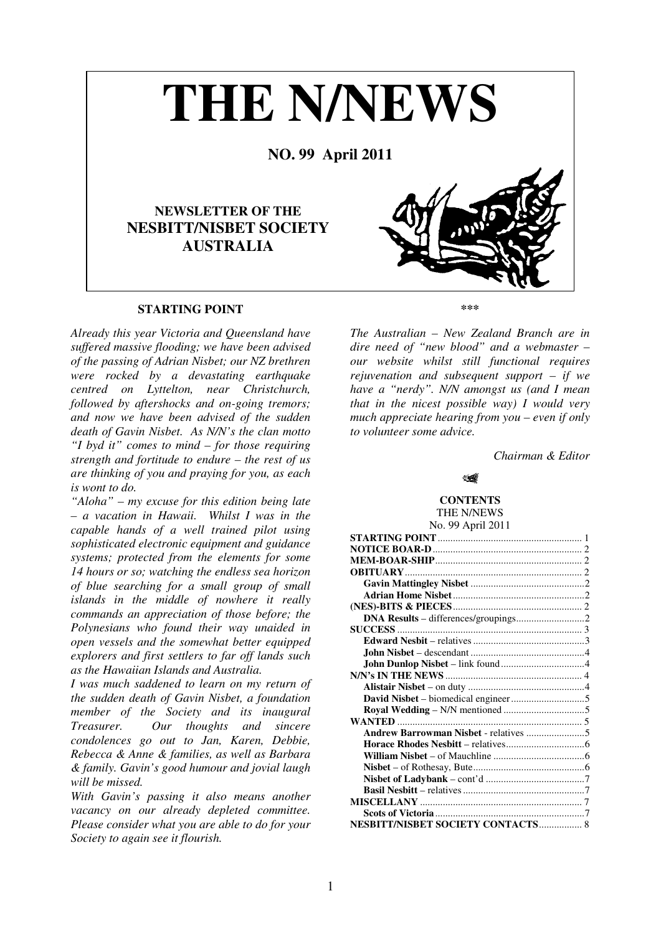# **THE N/NEWS NO. 99 April 2011 NEWSLETTER OF THE NESBITT/NISBET SOCIETY AUSTRALIA**

# **STARTING POINT**

*Already this year Victoria and Queensland have suffered massive flooding; we have been advised of the passing of Adrian Nisbet; our NZ brethren were rocked by a devastating earthquake centred on Lyttelton, near Christchurch, followed by aftershocks and on-going tremors; and now we have been advised of the sudden death of Gavin Nisbet. As N/N's the clan motto "I byd it" comes to mind – for those requiring strength and fortitude to endure – the rest of us are thinking of you and praying for you, as each is wont to do.* 

*"Aloha" – my excuse for this edition being late – a vacation in Hawaii. Whilst I was in the capable hands of a well trained pilot using sophisticated electronic equipment and guidance systems; protected from the elements for some 14 hours or so; watching the endless sea horizon of blue searching for a small group of small islands in the middle of nowhere it really commands an appreciation of those before; the Polynesians who found their way unaided in open vessels and the somewhat better equipped explorers and first settlers to far off lands such as the Hawaiian Islands and Australia.* 

*I was much saddened to learn on my return of the sudden death of Gavin Nisbet, a foundation member of the Society and its inaugural Treasurer. Our thoughts and sincere condolences go out to Jan, Karen, Debbie, Rebecca & Anne & families, as well as Barbara & family. Gavin's good humour and jovial laugh will be missed.* 

*With Gavin's passing it also means another vacancy on our already depleted committee. Please consider what you are able to do for your Society to again see it flourish.* 

**\*\*\***

*The Australian – New Zealand Branch are in dire need of "new blood" and a webmaster – our website whilst still functional requires rejuvenation and subsequent support – if we have a "nerdy". N/N amongst us (and I mean that in the nicest possible way) I would very much appreciate hearing from you – even if only to volunteer some advice.* 

*Chairman & Editor* 

## **MAR**

#### **CONTENTS**  THE N/NEWS

No. 99 April 2011 **STARTING POINT**......................................................... 1 **NOTICE BOAR-D**........................................................... 2 **MEM-BOAR-SHIP**.......................................................... 2 **OBITUARY**...................................................................... 2 **Gavin Mattingley Nisbet** .............................................2 **Adrian Home Nisbet**....................................................2 **(NES)-BITS & PIECES**................................................... 2 **DNA Results** – differences/groupings...........................2 **SUCCESS** ......................................................................... 3 **Edward Nesbit** – relatives ............................................3 **John Nisbet** – descendant .............................................4 **John Dunlop Nisbet** – link found.................................4 **N/N's IN THE NEWS** ...................................................... 4 **Alistair Nisbet** – on duty ..............................................4 **David Nisbet** – biomedical engineer.............................5 **Royal Wedding** – N/N mentioned ................................5 **WANTED** ......................................................................... 5 **Andrew Barrowman Nisbet** - relatives .......................5 **Horace Rhodes Nesbitt** – relatives...............................6 **William Nisbet** – of Mauchline ....................................6 **Nisbet** – of Rothesay, Bute............................................6 **Nisbet of Ladybank** – cont'd .......................................7 **Basil Nesbitt** – relatives ................................................7 **MISCELLANY** ................................................................ 7 **Scots of Victoria** ...........................................................7 **NESBITT/NISBET SOCIETY CONTACTS**................. 8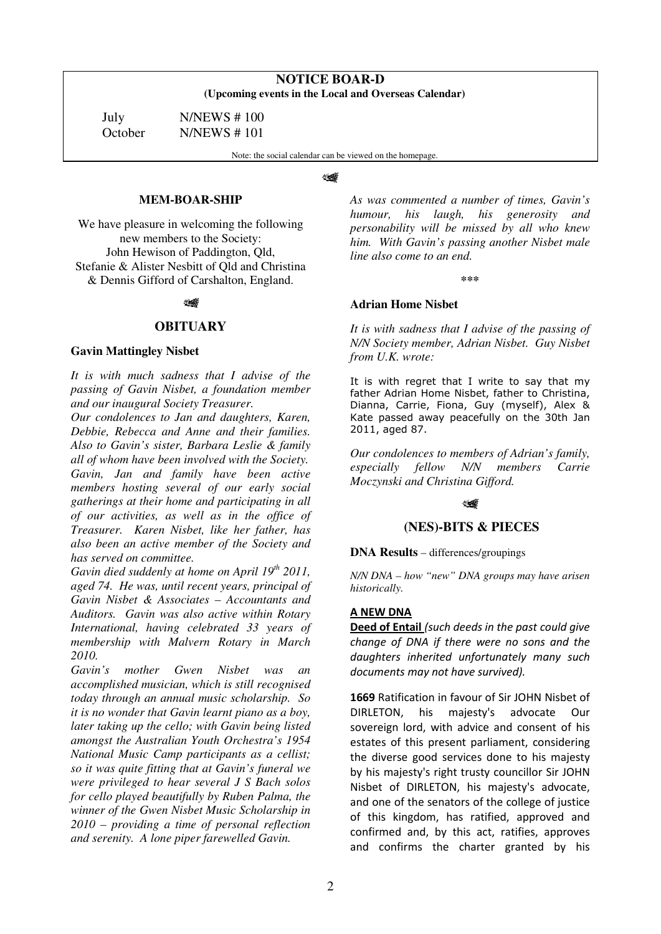| <b>NOTICE BOAR-D</b>                                 |
|------------------------------------------------------|
| (Upcoming events in the Local and Overseas Calendar) |

July N/NEWS # 100

October N/NEWS # 101

Note: the social calendar can be viewed on the homepage.

## ₩

## **MEM-BOAR-SHIP**

We have pleasure in welcoming the following new members to the Society: John Hewison of Paddington, Qld, Stefanie & Alister Nesbitt of Qld and Christina & Dennis Gifford of Carshalton, England.

14

## **OBITUARY**

## **Gavin Mattingley Nisbet**

*It is with much sadness that I advise of the passing of Gavin Nisbet, a foundation member and our inaugural Society Treasurer.* 

*Our condolences to Jan and daughters, Karen, Debbie, Rebecca and Anne and their families. Also to Gavin's sister, Barbara Leslie & family all of whom have been involved with the Society. Gavin, Jan and family have been active members hosting several of our early social gatherings at their home and participating in all of our activities, as well as in the office of Treasurer. Karen Nisbet, like her father, has also been an active member of the Society and has served on committee.* 

*Gavin died suddenly at home on April 19th 2011, aged 74. He was, until recent years, principal of Gavin Nisbet & Associates – Accountants and Auditors. Gavin was also active within Rotary International, having celebrated 33 years of membership with Malvern Rotary in March 2010.* 

*Gavin's mother Gwen Nisbet was an accomplished musician, which is still recognised today through an annual music scholarship. So it is no wonder that Gavin learnt piano as a boy, later taking up the cello; with Gavin being listed amongst the Australian Youth Orchestra's 1954 National Music Camp participants as a cellist; so it was quite fitting that at Gavin's funeral we were privileged to hear several J S Bach solos for cello played beautifully by Ruben Palma, the winner of the Gwen Nisbet Music Scholarship in 2010 – providing a time of personal reflection and serenity. A lone piper farewelled Gavin.* 

*As was commented a number of times, Gavin's humour, his laugh, his generosity and personability will be missed by all who knew him. With Gavin's passing another Nisbet male line also come to an end.* 

**\*\*\***

## **Adrian Home Nisbet**

*It is with sadness that I advise of the passing of N/N Society member, Adrian Nisbet. Guy Nisbet from U.K. wrote:* 

It is with regret that I write to say that my father Adrian Home Nisbet, father to Christina, Dianna, Carrie, Fiona, Guy (myself), Alex & Kate passed away peacefully on the 30th Jan 2011, aged 87.

*Our condolences to members of Adrian's family, especially fellow N/N members Carrie Moczynski and Christina Gifford.* 

## પ≰

# **(NES)-BITS & PIECES**

**DNA Results** – differences/groupings

*N/N DNA – how "new" DNA groups may have arisen historically.* 

# **A NEW DNA**

**Deed of Entail** *(such deeds in the past could give change of DNA if there were no sons and the daughters inherited unfortunately many such documents may not have survived).* 

**1669** Ratification in favour of Sir JOHN Nisbet of DIRLETON, his majesty's advocate Our sovereign lord, with advice and consent of his estates of this present parliament, considering the diverse good services done to his majesty by his majesty's right trusty councillor Sir JOHN Nisbet of DIRLETON, his majesty's advocate, and one of the senators of the college of justice of this kingdom, has ratified, approved and confirmed and, by this act, ratifies, approves and confirms the charter granted by his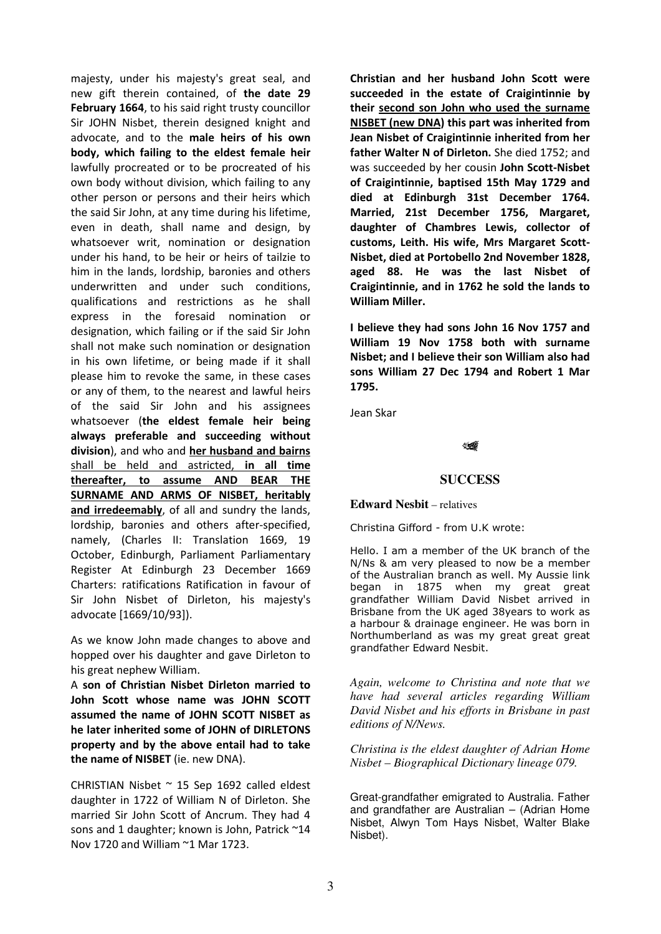majesty, under his majesty's great seal, and new gift therein contained, of **the date 29 February 1664**, to his said right trusty councillor Sir JOHN Nisbet, therein designed knight and advocate, and to the **male heirs of his own body, which failing to the eldest female heir**  lawfully procreated or to be procreated of his own body without division, which failing to any other person or persons and their heirs which the said Sir John, at any time during his lifetime, even in death, shall name and design, by whatsoever writ, nomination or designation under his hand, to be heir or heirs of tailzie to him in the lands, lordship, baronies and others underwritten and under such conditions, qualifications and restrictions as he shall express in the foresaid nomination or designation, which failing or if the said Sir John shall not make such nomination or designation in his own lifetime, or being made if it shall please him to revoke the same, in these cases or any of them, to the nearest and lawful heirs of the said Sir John and his assignees whatsoever (**the eldest female heir being always preferable and succeeding without division**), and who and **her husband and bairns** shall be held and astricted, **in all time thereafter, to assume AND BEAR THE SURNAME AND ARMS OF NISBET, heritably and irredeemably**, of all and sundry the lands, lordship, baronies and others after-specified, namely, (Charles II: Translation 1669, 19 October, Edinburgh, Parliament Parliamentary Register At Edinburgh 23 December 1669 Charters: ratifications Ratification in favour of Sir John Nisbet of Dirleton, his majesty's advocate [1669/10/93]).

As we know John made changes to above and hopped over his daughter and gave Dirleton to his great nephew William.

A **son of Christian Nisbet Dirleton married to John Scott whose name was JOHN SCOTT assumed the name of JOHN SCOTT NISBET as he later inherited some of JOHN of DIRLETONS property and by the above entail had to take the name of NISBET** (ie. new DNA).

CHRISTIAN Nisbet ~ 15 Sep 1692 called eldest daughter in 1722 of William N of Dirleton. She married Sir John Scott of Ancrum. They had 4 sons and 1 daughter; known is John, Patrick ~14 Nov 1720 and William ~1 Mar 1723.

**Christian and her husband John Scott were succeeded in the estate of Craigintinnie by their second son John who used the surname NISBET (new DNA) this part was inherited from Jean Nisbet of Craigintinnie inherited from her father Walter N of Dirleton.** She died 1752; and was succeeded by her cousin **John Scott-Nisbet of Craigintinnie, baptised 15th May 1729 and died at Edinburgh 31st December 1764. Married, 21st December 1756, Margaret, daughter of Chambres Lewis, collector of customs, Leith. His wife, Mrs Margaret Scott-Nisbet, died at Portobello 2nd November 1828, aged 88. He was the last Nisbet of Craigintinnie, and in 1762 he sold the lands to William Miller.** 

**I believe they had sons John 16 Nov 1757 and William 19 Nov 1758 both with surname Nisbet; and I believe their son William also had sons William 27 Dec 1794 and Robert 1 Mar 1795.**

Jean Skar

# 12

# **SUCCESS**

**Edward Nesbit** – relatives

Christina Gifford - from U.K wrote:

Hello. I am a member of the UK branch of the N/Ns & am very pleased to now be a member of the Australian branch as well. My Aussie link began in 1875 when my great great grandfather William David Nisbet arrived in Brisbane from the UK aged 38years to work as a harbour & drainage engineer. He was born in Northumberland as was my great great great grandfather Edward Nesbit.

*Again, welcome to Christina and note that we have had several articles regarding William David Nisbet and his efforts in Brisbane in past editions of N/News.* 

*Christina is the eldest daughter of Adrian Home Nisbet – Biographical Dictionary lineage 079.* 

Great-grandfather emigrated to Australia. Father and grandfather are Australian – (Adrian Home Nisbet, Alwyn Tom Hays Nisbet, Walter Blake Nisbet).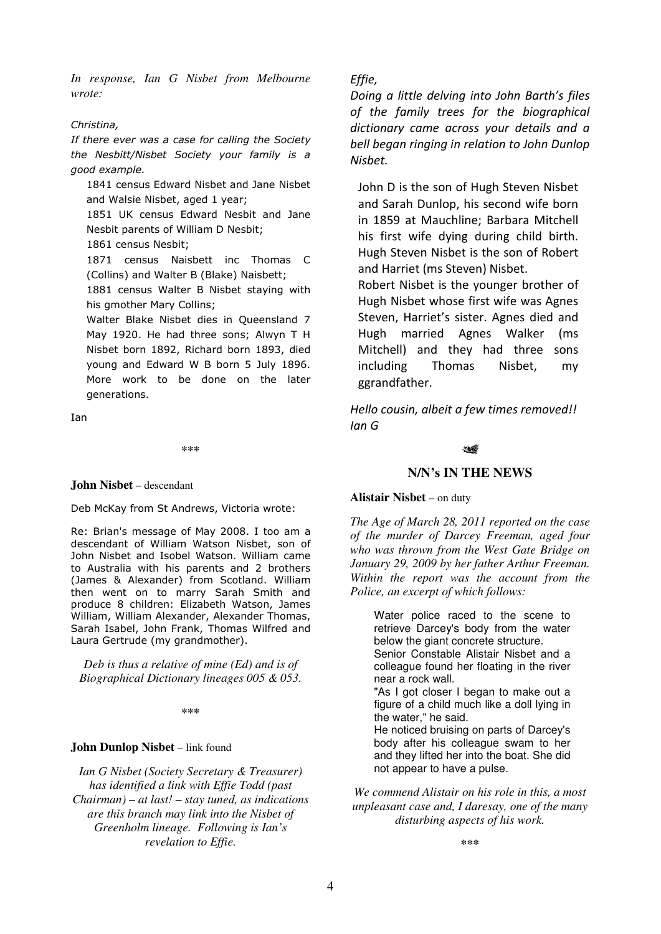*In response, Ian G Nisbet from Melbourne wrote:* 

## *Christina,*

*If there ever was a case for calling the Society the Nesbitt/Nisbet Society your family is a good example.* 

1841 census Edward Nisbet and Jane Nisbet and Walsie Nisbet, aged 1 year;

1851 UK census Edward Nesbit and Jane Nesbit parents of William D Nesbit;

1861 census Nesbit;

1871 census Naisbett inc Thomas C (Collins) and Walter B (Blake) Naisbett;

1881 census Walter B Nisbet staying with his gmother Mary Collins;

Walter Blake Nisbet dies in Queensland 7 May 1920. He had three sons; Alwyn T H Nisbet born 1892, Richard born 1893, died young and Edward W B born 5 July 1896. More work to be done on the later generations.

Ian

**\*\*\***

## **John Nisbet** – descendant

Deb McKay from St Andrews, Victoria wrote:

Re: Brian's message of May 2008. I too am a descendant of William Watson Nisbet, son of John Nisbet and Isobel Watson. William came to Australia with his parents and 2 brothers (James & Alexander) from Scotland. William then went on to marry Sarah Smith and produce 8 children: Elizabeth Watson, James William, William Alexander, Alexander Thomas, Sarah Isabel, John Frank, Thomas Wilfred and Laura Gertrude (my grandmother).

*Deb is thus a relative of mine (Ed) and is of Biographical Dictionary lineages 005 & 053.* 

**\*\*\***

## **John Dunlop Nisbet** – link found

*Ian G Nisbet (Society Secretary & Treasurer) has identified a link with Effie Todd (past Chairman) – at last! – stay tuned, as indications are this branch may link into the Nisbet of Greenholm lineage. Following is Ian's revelation to Effie.* 

# *Effie,*

*Doing a little delving into John Barth's files of the family trees for the biographical dictionary came across your details and a bell began ringing in relation to John Dunlop Nisbet.* 

John D is the son of Hugh Steven Nisbet and Sarah Dunlop, his second wife born in 1859 at Mauchline; Barbara Mitchell his first wife dying during child birth. Hugh Steven Nisbet is the son of Robert and Harriet (ms Steven) Nisbet.

Robert Nisbet is the younger brother of Hugh Nisbet whose first wife was Agnes Steven, Harriet's sister. Agnes died and Hugh married Agnes Walker (ms Mitchell) and they had three sons including Thomas Nisbet, my ggrandfather.

*Hello cousin, albeit a few times removed!! Ian G* 

## 14

# **N/N's IN THE NEWS**

## **Alistair Nisbet** – on duty

*The Age of March 28, 2011 reported on the case of the murder of Darcey Freeman, aged four who was thrown from the West Gate Bridge on January 29, 2009 by her father Arthur Freeman. Within the report was the account from the Police, an excerpt of which follows:* 

Water police raced to the scene to retrieve Darcey's body from the water below the giant concrete structure. Senior Constable Alistair Nisbet and a colleague found her floating in the river near a rock wall. "As I got closer I began to make out a figure of a child much like a doll lying in the water," he said. He noticed bruising on parts of Darcey's body after his colleague swam to her and they lifted her into the boat. She did

*We commend Alistair on his role in this, a most unpleasant case and, I daresay, one of the many disturbing aspects of his work.* 

not appear to have a pulse.

**\*\*\***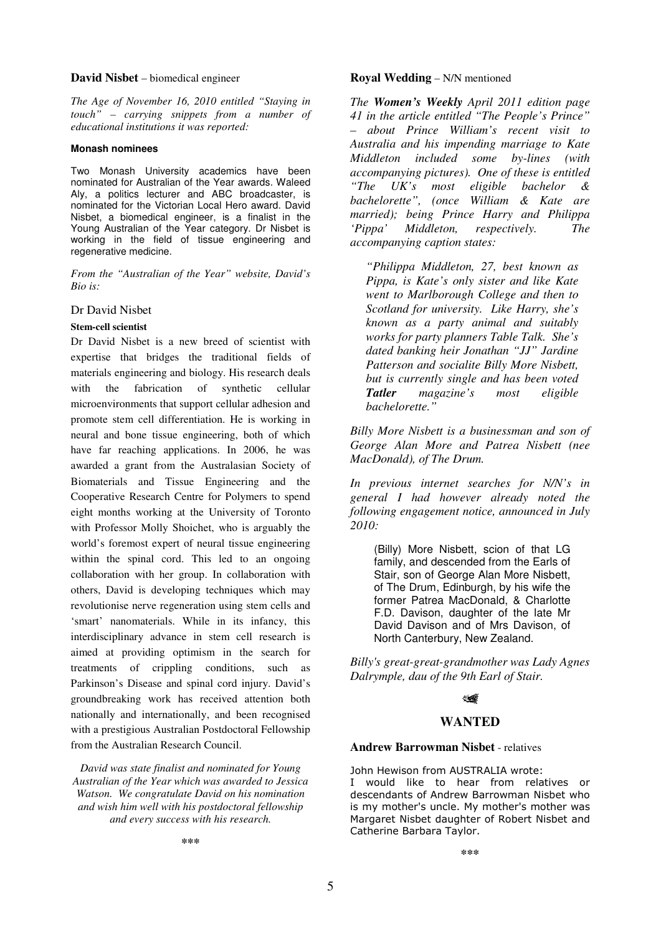## **David Nisbet** – biomedical engineer

*The Age of November 16, 2010 entitled "Staying in touch" – carrying snippets from a number of educational institutions it was reported:* 

#### **Monash nominees**

Two Monash University academics have been nominated for Australian of the Year awards. Waleed Aly, a politics lecturer and ABC broadcaster, is nominated for the Victorian Local Hero award. David Nisbet, a biomedical engineer, is a finalist in the Young Australian of the Year category. Dr Nisbet is working in the field of tissue engineering and regenerative medicine.

*From the "Australian of the Year" website, David's Bio is:* 

# Dr David Nisbet

#### **Stem-cell scientist**

Dr David Nisbet is a new breed of scientist with expertise that bridges the traditional fields of materials engineering and biology. His research deals with the fabrication of synthetic cellular microenvironments that support cellular adhesion and promote stem cell differentiation. He is working in neural and bone tissue engineering, both of which have far reaching applications. In 2006, he was awarded a grant from the Australasian Society of Biomaterials and Tissue Engineering and the Cooperative Research Centre for Polymers to spend eight months working at the University of Toronto with Professor Molly Shoichet, who is arguably the world's foremost expert of neural tissue engineering within the spinal cord. This led to an ongoing collaboration with her group. In collaboration with others, David is developing techniques which may revolutionise nerve regeneration using stem cells and 'smart' nanomaterials. While in its infancy, this interdisciplinary advance in stem cell research is aimed at providing optimism in the search for treatments of crippling conditions, such as Parkinson's Disease and spinal cord injury. David's groundbreaking work has received attention both nationally and internationally, and been recognised with a prestigious Australian Postdoctoral Fellowship from the Australian Research Council.

*David was state finalist and nominated for Young Australian of the Year which was awarded to Jessica Watson. We congratulate David on his nomination and wish him well with his postdoctoral fellowship and every success with his research.* 

## **Royal Wedding** – N/N mentioned

*The Women's Weekly April 2011 edition page 41 in the article entitled "The People's Prince" – about Prince William's recent visit to Australia and his impending marriage to Kate Middleton included some by-lines (with accompanying pictures). One of these is entitled "The UK's most eligible bachelor & bachelorette", (once William & Kate are married); being Prince Harry and Philippa 'Pippa' Middleton, respectively. The accompanying caption states:* 

*"Philippa Middleton, 27, best known as Pippa, is Kate's only sister and like Kate went to Marlborough College and then to Scotland for university. Like Harry, she's known as a party animal and suitably works for party planners Table Talk. She's dated banking heir Jonathan "JJ" Jardine Patterson and socialite Billy More Nisbett, but is currently single and has been voted Tatler magazine's most eligible bachelorette."* 

*Billy More Nisbett is a businessman and son of George Alan More and Patrea Nisbett (nee MacDonald), of The Drum.* 

*In previous internet searches for N/N's in general I had however already noted the following engagement notice, announced in July 2010:* 

(Billy) More Nisbett, scion of that LG family, and descended from the Earls of Stair, son of George Alan More Nisbett, of The Drum, Edinburgh, by his wife the former Patrea MacDonald, & Charlotte F.D. Davison, daughter of the late Mr David Davison and of Mrs Davison, of North Canterbury, New Zealand.

*Billy's great-great-grandmother was Lady Agnes Dalrymple, dau of the 9th Earl of Stair.* 

# પ≰

# **WANTED**

## **Andrew Barrowman Nisbet** - relatives

John Hewison from AUSTRALIA wrote: I would like to hear from relatives or descendants of Andrew Barrowman Nisbet who is my mother's uncle. My mother's mother was Margaret Nisbet daughter of Robert Nisbet and Catherine Barbara Taylor.

**\*\*\***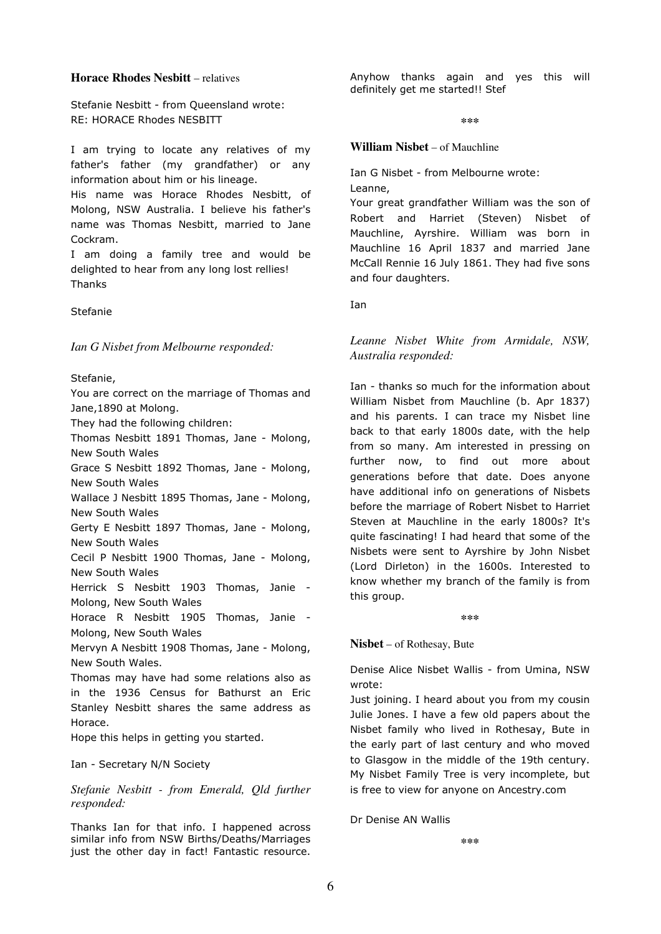# **Horace Rhodes Nesbitt** – relatives

Stefanie Nesbitt - from Queensland wrote: RE: HORACE Rhodes NESBITT

I am trying to locate any relatives of my father's father (my grandfather) or any information about him or his lineage.

His name was Horace Rhodes Nesbitt, of Molong, NSW Australia. I believe his father's name was Thomas Nesbitt, married to Jane Cockram.

I am doing a family tree and would be delighted to hear from any long lost rellies! Thanks

Stefanie

*Ian G Nisbet from Melbourne responded:* 

# Stefanie,

You are correct on the marriage of Thomas and Jane,1890 at Molong.

They had the following children:

Thomas Nesbitt 1891 Thomas, Jane - Molong, New South Wales

Grace S Nesbitt 1892 Thomas, Jane - Molong, New South Wales

Wallace J Nesbitt 1895 Thomas, Jane - Molong, New South Wales

Gerty E Nesbitt 1897 Thomas, Jane - Molong, New South Wales

Cecil P Nesbitt 1900 Thomas, Jane - Molong, New South Wales

Herrick S Nesbitt 1903 Thomas, Janie - Molong, New South Wales

Horace R Nesbitt 1905 Thomas, Janie - Molong, New South Wales

Mervyn A Nesbitt 1908 Thomas, Jane - Molong, New South Wales.

Thomas may have had some relations also as in the 1936 Census for Bathurst an Eric Stanley Nesbitt shares the same address as Horace.

Hope this helps in getting you started.

Ian - Secretary N/N Society

*Stefanie Nesbitt - from Emerald, Qld further responded:* 

Thanks Ian for that info. I happened across similar info from NSW Births/Deaths/Marriages just the other day in fact! Fantastic resource.

Anyhow thanks again and yes this will definitely get me started!! Stef

**\*\*\***

## **William Nisbet** – of Mauchline

Ian G Nisbet - from Melbourne wrote: Leanne,

Your great grandfather William was the son of Robert and Harriet (Steven) Nisbet of Mauchline, Ayrshire. William was born in Mauchline 16 April 1837 and married Jane McCall Rennie 16 July 1861. They had five sons and four daughters.

Ian

*Leanne Nisbet White from Armidale, NSW, Australia responded:* 

Ian - thanks so much for the information about William Nisbet from Mauchline (b. Apr 1837) and his parents. I can trace my Nisbet line back to that early 1800s date, with the help from so many. Am interested in pressing on further now, to find out more about generations before that date. Does anyone have additional info on generations of Nisbets before the marriage of Robert Nisbet to Harriet Steven at Mauchline in the early 1800s? It's quite fascinating! I had heard that some of the Nisbets were sent to Ayrshire by John Nisbet (Lord Dirleton) in the 1600s. Interested to know whether my branch of the family is from this group.

**\*\*\***

**Nisbet** – of Rothesay, Bute

Denise Alice Nisbet Wallis - from Umina, NSW wrote:

Just joining. I heard about you from my cousin Julie Jones. I have a few old papers about the Nisbet family who lived in Rothesay, Bute in the early part of last century and who moved to Glasgow in the middle of the 19th century. My Nisbet Family Tree is very incomplete, but is free to view for anyone on Ancestry.com

Dr Denise AN Wallis

**\*\*\***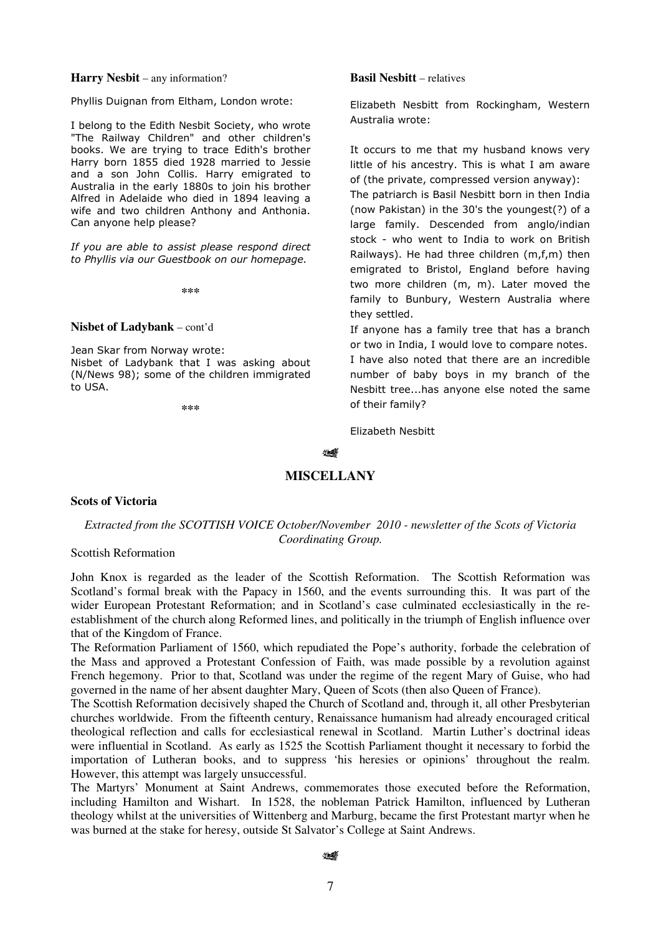## **Harry Nesbit** – any information?

Phyllis Duignan from Eltham, London wrote:

I belong to the Edith Nesbit Society, who wrote "The Railway Children" and other children's books. We are trying to trace Edith's brother Harry born 1855 died 1928 married to Jessie and a son John Collis. Harry emigrated to Australia in the early 1880s to join his brother Alfred in Adelaide who died in 1894 leaving a wife and two children Anthony and Anthonia. Can anyone help please?

*If you are able to assist please respond direct to Phyllis via our Guestbook on our homepage.* 

**\*\*\***

**Nisbet of Ladybank** – cont'd

Jean Skar from Norway wrote: Nisbet of Ladybank that I was asking about (N/News 98); some of the children immigrated to USA.

**\*\*\***

## **Basil Nesbitt** – relatives

Elizabeth Nesbitt from Rockingham, Western Australia wrote:

It occurs to me that my husband knows very little of his ancestry. This is what I am aware of (the private, compressed version anyway):

The patriarch is Basil Nesbitt born in then India (now Pakistan) in the 30's the youngest(?) of a large family. Descended from anglo/indian stock - who went to India to work on British Railways). He had three children (m,f,m) then emigrated to Bristol, England before having two more children (m, m). Later moved the family to Bunbury, Western Australia where they settled.

If anyone has a family tree that has a branch or two in India, I would love to compare notes. I have also noted that there are an incredible number of baby boys in my branch of the Nesbitt tree...has anyone else noted the same of their family?

Elizabeth Nesbitt

#### ∜

## **MISCELLANY**

## **Scots of Victoria**

# *Extracted from the SCOTTISH VOICE October/November 2010 - newsletter of the Scots of Victoria Coordinating Group.*

# Scottish Reformation

John Knox is regarded as the leader of the Scottish Reformation. The Scottish Reformation was Scotland's formal break with the Papacy in 1560, and the events surrounding this. It was part of the wider European Protestant Reformation; and in Scotland's case culminated ecclesiastically in the reestablishment of the church along Reformed lines, and politically in the triumph of English influence over that of the Kingdom of France.

The Reformation Parliament of 1560, which repudiated the Pope's authority, forbade the celebration of the Mass and approved a Protestant Confession of Faith, was made possible by a revolution against French hegemony. Prior to that, Scotland was under the regime of the regent Mary of Guise, who had governed in the name of her absent daughter Mary, Queen of Scots (then also Queen of France).

The Scottish Reformation decisively shaped the Church of Scotland and, through it, all other Presbyterian churches worldwide. From the fifteenth century, Renaissance humanism had already encouraged critical theological reflection and calls for ecclesiastical renewal in Scotland. Martin Luther's doctrinal ideas were influential in Scotland. As early as 1525 the Scottish Parliament thought it necessary to forbid the importation of Lutheran books, and to suppress 'his heresies or opinions' throughout the realm. However, this attempt was largely unsuccessful.

The Martyrs' Monument at Saint Andrews, commemorates those executed before the Reformation, including Hamilton and Wishart. In 1528, the nobleman Patrick Hamilton, influenced by Lutheran theology whilst at the universities of Wittenberg and Marburg, became the first Protestant martyr when he was burned at the stake for heresy, outside St Salvator's College at Saint Andrews.

#### પ≰